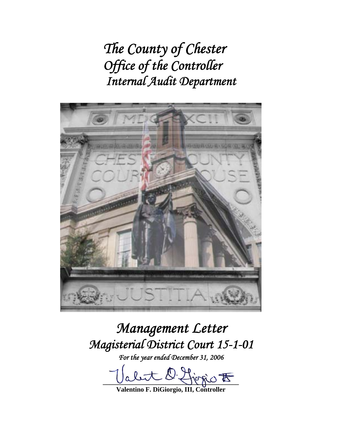*The County of Chester Office of the Controller Internal Audit Department* 



# *Management Letter Magisterial District Court 15-1-01*

*For the year ended December 31, 2006* 

 $\lim_{t\to\infty} \frac{1}{t}$ 

**Valentino F. DiGiorgio, III, Controller**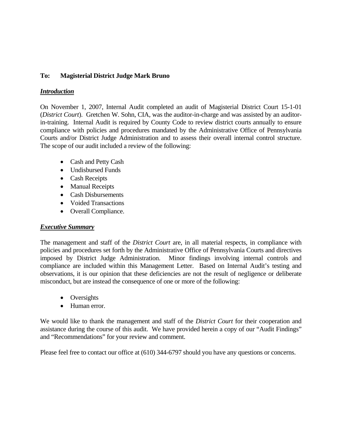# **To: Magisterial District Judge Mark Bruno**

## *Introduction*

On November 1, 2007, Internal Audit completed an audit of Magisterial District Court 15-1-01 (*District Court*). Gretchen W. Sohn, CIA, was the auditor-in-charge and was assisted by an auditorin-training. Internal Audit is required by County Code to review district courts annually to ensure compliance with policies and procedures mandated by the Administrative Office of Pennsylvania Courts and/or District Judge Administration and to assess their overall internal control structure. The scope of our audit included a review of the following:

- Cash and Petty Cash
- Undisbursed Funds
- Cash Receipts
- Manual Receipts
- Cash Disbursements
- Voided Transactions
- Overall Compliance.

# *Executive Summary*

The management and staff of the *District Court* are, in all material respects, in compliance with policies and procedures set forth by the Administrative Office of Pennsylvania Courts and directives imposed by District Judge Administration. Minor findings involving internal controls and compliance are included within this Management Letter. Based on Internal Audit's testing and observations, it is our opinion that these deficiencies are not the result of negligence or deliberate misconduct, but are instead the consequence of one or more of the following:

- Oversights
- Human error.

We would like to thank the management and staff of the *District Court* for their cooperation and assistance during the course of this audit. We have provided herein a copy of our "Audit Findings" and "Recommendations" for your review and comment.

Please feel free to contact our office at (610) 344-6797 should you have any questions or concerns.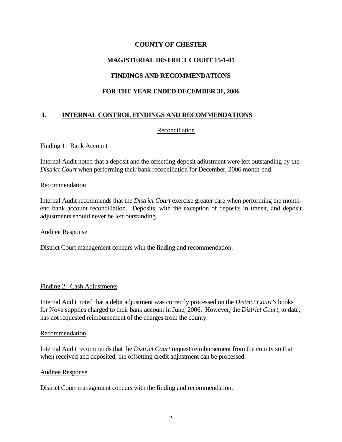# **MAGISTERIAL DISTRICT COURT 15-1-01**

# **FINDINGS AND RECOMMENDATIONS**

# **FOR THE YEAR ENDED DECEMBER 31, 2006**

# **I. INTERNAL CONTROL FINDINGS AND RECOMMENDATIONS**

#### Reconciliation

#### Finding 1: Bank Account

Internal Audit noted that a deposit and the offsetting deposit adjustment were left outstanding by the *District Court* when performing their bank reconciliation for December, 2006 month-end.

#### Recommendation

Internal Audit recommends that the *District Court* exercise greater care when performing the monthend bank account reconciliation. Deposits, with the exception of deposits in transit, and deposit adjustments should never be left outstanding.

#### Auditee Response

District Court management concurs with the finding and recommendation.

#### Finding 2: Cash Adjustments

Internal Audit noted that a debit adjustment was correctly processed on the *District Court's* books for Nova supplies charged to their bank account in June, 2006. However, the *District Court*, to date, has not requested reimbursement of the charges from the county.

#### Recommendation

Internal Audit recommends that the *District Court* request reimbursement from the county so that when received and deposited, the offsetting credit adjustment can be processed.

#### Auditee Response

District Court management concurs with the finding and recommendation.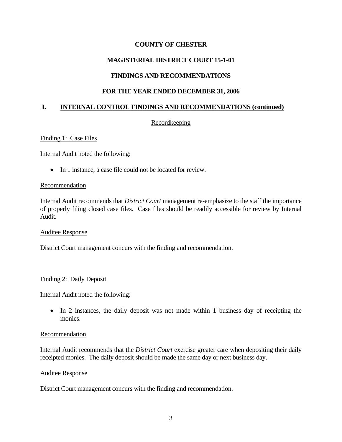# **MAGISTERIAL DISTRICT COURT 15-1-01**

# **FINDINGS AND RECOMMENDATIONS**

## **FOR THE YEAR ENDED DECEMBER 31, 2006**

#### **I. INTERNAL CONTROL FINDINGS AND RECOMMENDATIONS (continued)**

#### **Recordkeeping**

#### Finding 1: Case Files

Internal Audit noted the following:

• In 1 instance, a case file could not be located for review.

#### Recommendation

Internal Audit recommends that *District Court* management re-emphasize to the staff the importance of properly filing closed case files. Case files should be readily accessible for review by Internal Audit.

#### Auditee Response

District Court management concurs with the finding and recommendation.

#### Finding 2: Daily Deposit

Internal Audit noted the following:

• In 2 instances, the daily deposit was not made within 1 business day of receipting the monies.

#### Recommendation

Internal Audit recommends that the *District Court* exercise greater care when depositing their daily receipted monies. The daily deposit should be made the same day or next business day.

#### Auditee Response

District Court management concurs with the finding and recommendation.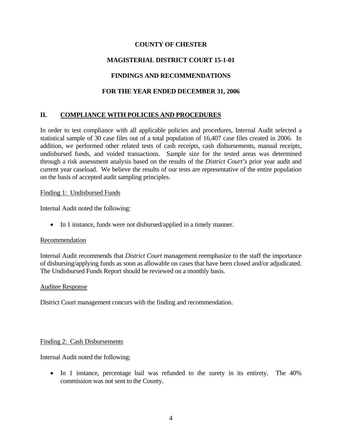# **MAGISTERIAL DISTRICT COURT 15-1-01**

# **FINDINGS AND RECOMMENDATIONS**

# **FOR THE YEAR ENDED DECEMBER 31, 2006**

# **II. COMPLIANCE WITH POLICIES AND PROCEDURES**

In order to test compliance with all applicable policies and procedures, Internal Audit selected a statistical sample of 30 case files out of a total population of 16,407 case files created in 2006. In addition, we performed other related tests of cash receipts, cash disbursements, manual receipts, undisbursed funds, and voided transactions. Sample size for the tested areas was determined through a risk assessment analysis based on the results of the *District Court's* prior year audit and current year caseload. We believe the results of our tests are representative of the entire population on the basis of accepted audit sampling principles.

#### Finding 1: Undisbursed Funds

Internal Audit noted the following:

• In 1 instance, funds were not disbursed/applied in a timely manner.

#### Recommendation

Internal Audit recommends that *District Court* management reemphasize to the staff the importance of disbursing/applying funds as soon as allowable on cases that have been closed and/or adjudicated. The Undisbursed Funds Report should be reviewed on a monthly basis.

#### Auditee Response

District Court management concurs with the finding and recommendation.

#### Finding 2: Cash Disbursements

Internal Audit noted the following:

• In 1 instance, percentage bail was refunded to the surety in its entirety. The 40% commission was not sent to the County.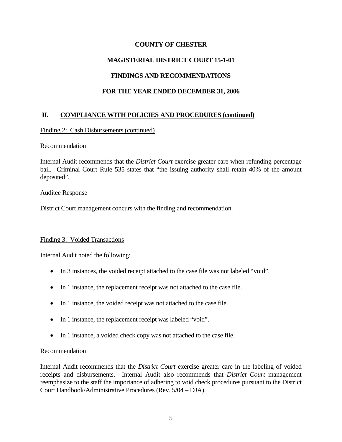# **MAGISTERIAL DISTRICT COURT 15-1-01**

# **FINDINGS AND RECOMMENDATIONS**

# **FOR THE YEAR ENDED DECEMBER 31, 2006**

# **II. COMPLIANCE WITH POLICIES AND PROCEDURES (continued)**

#### Finding 2: Cash Disbursements (continued)

#### Recommendation

Internal Audit recommends that the *District Court* exercise greater care when refunding percentage bail. Criminal Court Rule 535 states that "the issuing authority shall retain 40% of the amount deposited".

#### Auditee Response

District Court management concurs with the finding and recommendation.

#### Finding 3: Voided Transactions

Internal Audit noted the following:

- In 3 instances, the voided receipt attached to the case file was not labeled "void".
- In 1 instance, the replacement receipt was not attached to the case file.
- In 1 instance, the voided receipt was not attached to the case file.
- In 1 instance, the replacement receipt was labeled "void".
- In 1 instance, a voided check copy was not attached to the case file.

#### Recommendation

Internal Audit recommends that the *District Court* exercise greater care in the labeling of voided receipts and disbursements. Internal Audit also recommends that *District Court* management reemphasize to the staff the importance of adhering to void check procedures pursuant to the District Court Handbook/Administrative Procedures (Rev. 5/04 – DJA).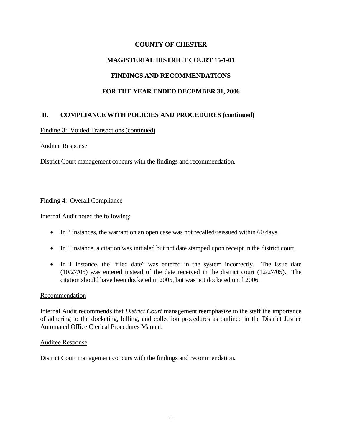# **MAGISTERIAL DISTRICT COURT 15-1-01**

# **FINDINGS AND RECOMMENDATIONS**

# **FOR THE YEAR ENDED DECEMBER 31, 2006**

# **II. COMPLIANCE WITH POLICIES AND PROCEDURES (continued)**

#### Finding 3: Voided Transactions (continued)

#### Auditee Response

District Court management concurs with the findings and recommendation.

#### Finding 4: Overall Compliance

Internal Audit noted the following:

- In 2 instances, the warrant on an open case was not recalled/reissued within 60 days.
- In 1 instance, a citation was initialed but not date stamped upon receipt in the district court.
- In 1 instance, the "filed date" was entered in the system incorrectly. The issue date (10/27/05) was entered instead of the date received in the district court (12/27/05). The citation should have been docketed in 2005, but was not docketed until 2006.

#### Recommendation

Internal Audit recommends that *District Court* management reemphasize to the staff the importance of adhering to the docketing, billing, and collection procedures as outlined in the District Justice Automated Office Clerical Procedures Manual.

#### Auditee Response

District Court management concurs with the findings and recommendation.